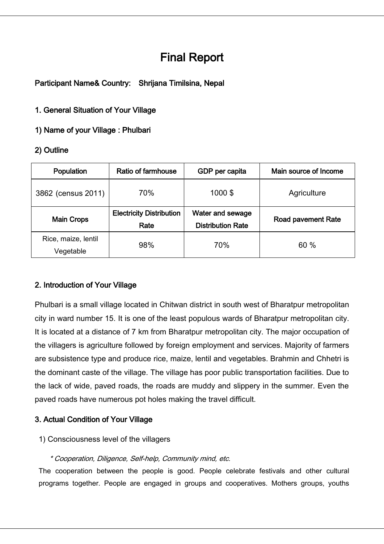# Final Report

Participant Name& Country: Shrijana Timilsina, Nepal

## 1. General Situation of Your Village

1) Name of your Village : Phulbari

## 2) Outline

| Population                       | Ratio of farmhouse                      | GDP per capita                               | Main source of Income     |
|----------------------------------|-----------------------------------------|----------------------------------------------|---------------------------|
| 3862 (census 2011)               | 70%                                     | 1000\$                                       | Agriculture               |
| <b>Main Crops</b>                | <b>Electricity Distribution</b><br>Rate | Water and sewage<br><b>Distribution Rate</b> | <b>Road pavement Rate</b> |
| Rice, maize, lentil<br>Vegetable | 98%                                     | 70%                                          | 60 %                      |

## 2. Introduction of Your Village

Phulbari is a small village located in Chitwan district in south west of Bharatpur metropolitan city in ward number 15. It is one of the least populous wards of Bharatpur metropolitan city. It is located at a distance of 7 km from Bharatpur metropolitan city. The major occupation of the villagers is agriculture followed by foreign employment and services. Majority of farmers are subsistence type and produce rice, maize, lentil and vegetables. Brahmin and Chhetri is the dominant caste of the village. The village has poor public transportation facilities. Due to the lack of wide, paved roads, the roads are muddy and slippery in the summer. Even the paved roads have numerous pot holes making the travel difficult.

## 3. Actual Condition of Your Village

## 1) Consciousness level of the villagers

#### \* Cooperation, Diligence, Self-help, Community mind, etc.

The cooperation between the people is good. People celebrate festivals and other cultural programs together. People are engaged in groups and cooperatives. Mothers groups, youths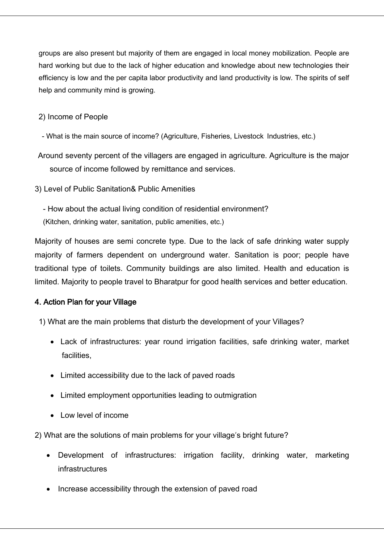groups are also present but majority of them are engaged in local money mobilization. People are hard working but due to the lack of higher education and knowledge about new technologies their efficiency is low and the per capita labor productivity and land productivity is low. The spirits of self help and community mind is growing.

2) Income of People

- What is the main source of income? (Agriculture, Fisheries, Livestock Industries, etc.)

- Around seventy percent of the villagers are engaged in agriculture. Agriculture is the major source of income followed by remittance and services.
- 3) Level of Public Sanitation& Public Amenities

- How about the actual living condition of residential environment? (Kitchen, drinking water, sanitation, public amenities, etc.)

Majority of houses are semi concrete type. Due to the lack of safe drinking water supply majority of farmers dependent on underground water. Sanitation is poor; people have traditional type of toilets. Community buildings are also limited. Health and education is limited. Majority to people travel to Bharatpur for good health services and better education.

## 4. Action Plan for your Village

1) What are the main problems that disturb the development of your Villages?

- Lack of infrastructures: year round irrigation facilities, safe drinking water, market facilities,
- Limited accessibility due to the lack of paved roads
- Limited employment opportunities leading to outmigration
- Low level of income

2) What are the solutions of main problems for your village's bright future?

- Development of infrastructures: irrigation facility, drinking water, marketing infrastructures
- Increase accessibility through the extension of paved road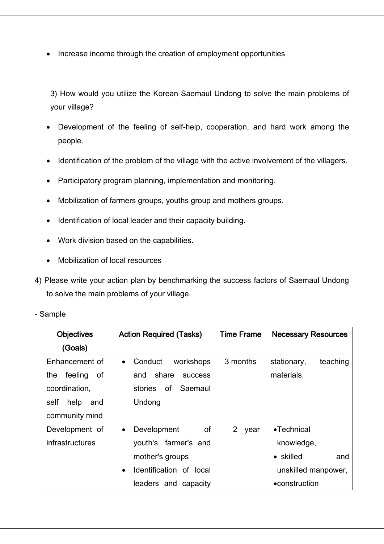• Increase income through the creation of employment opportunities

3) How would you utilize the Korean Saemaul Undong to solve the main problems of your village?

- Development of the feeling of self-help, cooperation, and hard work among the people.
- Identification of the problem of the village with the active involvement of the villagers.
- Participatory program planning, implementation and monitoring.
- Mobilization of farmers groups, youths group and mothers groups.
- Identification of local leader and their capacity building.
- Work division based on the capabilities.
- Mobilization of local resources
- 4) Please write your action plan by benchmarking the success factors of Saemaul Undong to solve the main problems of your village.
- Sample

| <b>Objectives</b>    | <b>Action Required (Tasks)</b>       | <b>Time Frame</b> | <b>Necessary Resources</b> |
|----------------------|--------------------------------------|-------------------|----------------------------|
| (Goals)              |                                      |                   |                            |
| Enhancement of       | Conduct<br>workshops<br>$\bullet$    | 3 months          | teaching<br>stationary,    |
| the<br>feeling<br>of | share<br>and<br><b>SUCCESS</b>       |                   | materials,                 |
| coordination,        | Saemaul<br>0f<br>stories             |                   |                            |
| self<br>help<br>and  | Undong                               |                   |                            |
| community mind       |                                      |                   |                            |
| Development of       | of<br>Development<br>$\bullet$       | 2<br>year         | $\bullet$ Technical        |
| infrastructures      | youth's, farmer's and                |                   | knowledge,                 |
|                      | mother's groups                      |                   | • skilled<br>and           |
|                      | Identification of local<br>$\bullet$ |                   | unskilled manpower,        |
|                      | leaders and capacity                 |                   | •construction              |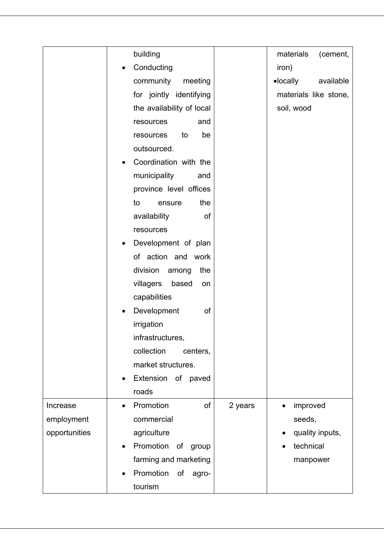|               | building                                | materials<br>(cement,          |
|---------------|-----------------------------------------|--------------------------------|
|               | Conducting                              | iron)                          |
|               | community<br>meeting                    | $\bullet$ locally<br>available |
|               | for jointly identifying                 | materials like stone,          |
|               | the availability of local               | soil, wood                     |
|               | resources<br>and                        |                                |
|               | be<br>resources<br>to                   |                                |
|               | outsourced.                             |                                |
|               | Coordination with the                   |                                |
|               | municipality<br>and                     |                                |
|               | province level offices                  |                                |
|               | the<br>to<br>ensure                     |                                |
|               | availability<br>of                      |                                |
|               | resources                               |                                |
|               | Development of plan                     |                                |
|               | of action and work                      |                                |
|               | division<br>the<br>among                |                                |
|               | villagers<br>based<br>on                |                                |
|               | capabilities                            |                                |
|               | Development<br>of                       |                                |
|               | irrigation                              |                                |
|               | infrastructures,                        |                                |
|               | collection<br>centers,                  |                                |
|               | market structures.                      |                                |
|               | Extension of paved                      |                                |
|               | roads                                   |                                |
| Increase      | of<br>Promotion<br>2 years<br>$\bullet$ | improved<br>$\bullet$          |
| employment    | commercial                              | seeds,                         |
| opportunities | agriculture                             | quality inputs,                |
|               | Promotion<br>of<br>group                | technical                      |
|               | farming and marketing                   | manpower                       |
|               | Promotion<br>of<br>agro-                |                                |
|               | tourism                                 |                                |